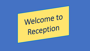# Welcome to Reception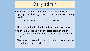### Daily admin

- Your child should have a coat and other weather appropriate clothing, a water bottle and their reading books.
	- Please make sure that all items are named.
- The reading books should be brought in every day.
- Your child will read with the class teacher and the early years practitioner once a week. The days may vary.
- Please try to read with your child every day and write in their reading record.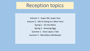### Reception topics

Autumn 1 - Super Me, Super You! Autumn 2 - We're Going on a Bear Hunt Spring 1 - On the Move Spring 2 - Amazing Eggs Summer 1 - Once Upon a Tale Summer 2 - Marvellous Minibeasts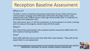# Reception Baseline Assessment

### What is it?

The RBA is a short, interactive and practical assessment of your child's early literacy, communication, language and mathematics skills when they begin school, using materials that most children of your child's age will be familiar with. It is statutory for all schools from September 2021.

Your child cannot 'pass' or 'fail' the assessment. Its main purpose is to create a starting point to measure the progress schools make with their pupils.

### When?

Your child will be participating in the reception baseline assessment (RBA) within the first 6 weeks of starting reception.

#### How?

Each child will have one-to-one time with their class teacher. They will not be aware that it is an assessment.

[https://assets.publishing.service.gov.uk/government/uploads/system/uploads/attachment\\_data/file/](https://assets.publishing.service.gov.uk/government/uploads/system/uploads/attachment_data/file/1004560/2021_Information_for_parents_reception_baseline_assessment.pdf) 1004560/2021\_Information\_for\_parents\_reception\_baseline\_assessment.pdf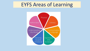# EYFS Areas of Learning

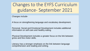Changes to the EYFS Curriculum guidance- September 2021

Changes include-

A focus on strengthening language and vocabulary development.

Personal, Social and Emotional Development includes additional information on self-care and healthy eating.

Physical Development includes a greater focus on the link between gross and fine motor skills.

Literacy has a stronger emphasis on the link between language comprehension and reading and writing.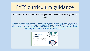# EYFS curriculum guidance

You can read more about the changes to the EYFS curriculum guidance here

https://assets.publishing.service.gov.uk/government/uploads/system/u [ploads/attachment\\_data/file/1007446/6.7534\\_DfE\\_Development\\_Matt](https://assets.publishing.service.gov.uk/government/uploads/system/uploads/attachment_data/file/1007446/6.7534_DfE_Development_Matters_Report_and_illustrations_web__2_.pdf) ers Report and illustrations web 2 .pdf

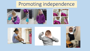# Promoting independence











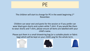# $P_{\text{F}}$

#### The children will start to change for PE in the week beginning  $1<sup>st</sup>$ November.

Children can wear vest and pants for the session or if you prefer can wear black gym shorts and a plain white T-shirt. If you would like them to wear shorts and T-shirt, please ensure all items are labelled with your child's name.

Please put them in a small drawstring bag (or a suitable plastic or fabric bag) which will be kept on your child's peg for the whole term.





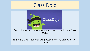# Class Dojo



### You will shortly receive an invitation via email to join Class Dojo.

#### Your child's class teacher will post photos and videos for you to view.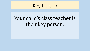# Key Person

# Your child's class teacher is their key person.